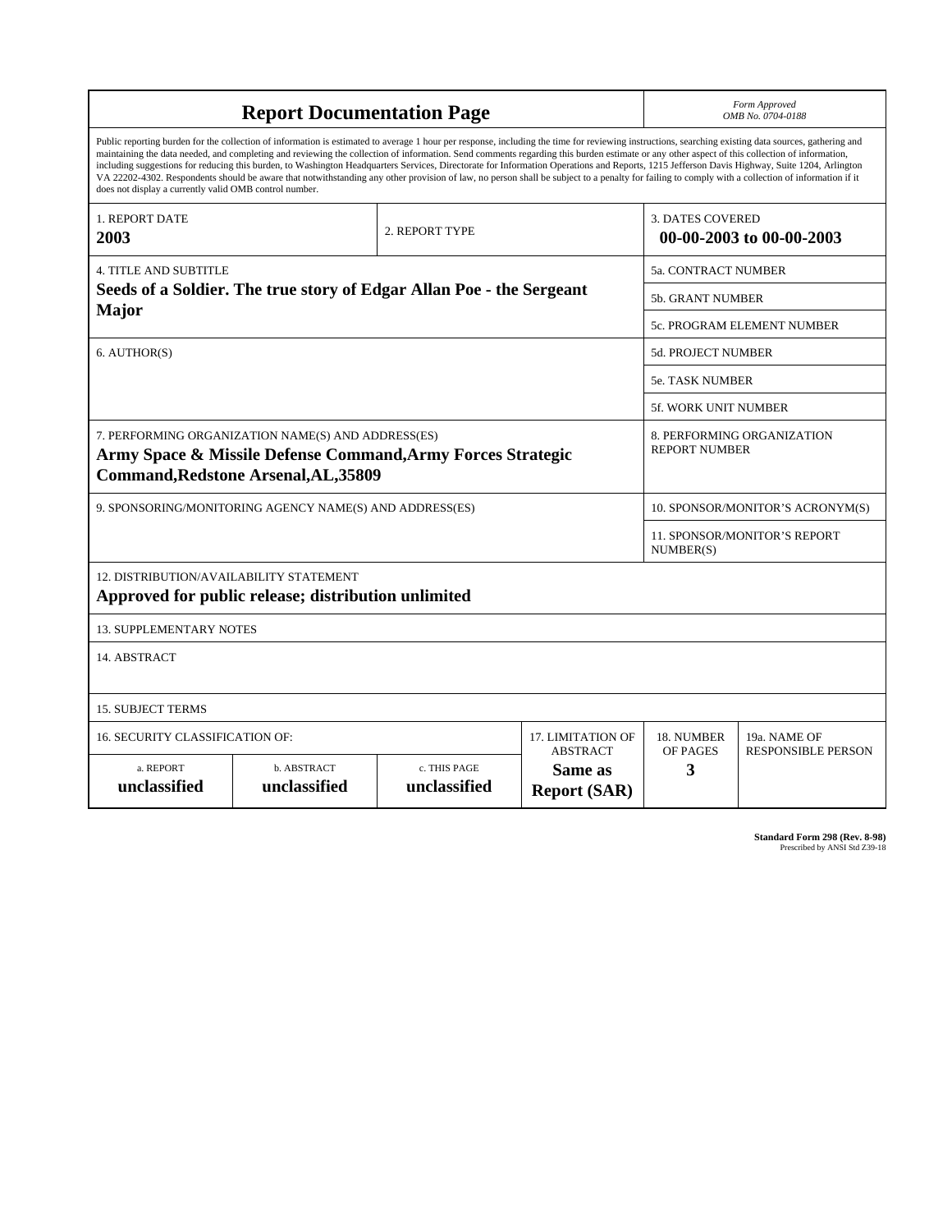| <b>Report Documentation Page</b>                                                                                                                                                                                                                                                                                                                                                                                                                                                                                                                                                                                                                                                                                                                                                                                                                                   |                                    |                              |                                                   |                                                     | Form Approved<br>OMB No. 0704-0188                 |  |
|--------------------------------------------------------------------------------------------------------------------------------------------------------------------------------------------------------------------------------------------------------------------------------------------------------------------------------------------------------------------------------------------------------------------------------------------------------------------------------------------------------------------------------------------------------------------------------------------------------------------------------------------------------------------------------------------------------------------------------------------------------------------------------------------------------------------------------------------------------------------|------------------------------------|------------------------------|---------------------------------------------------|-----------------------------------------------------|----------------------------------------------------|--|
| Public reporting burden for the collection of information is estimated to average 1 hour per response, including the time for reviewing instructions, searching existing data sources, gathering and<br>maintaining the data needed, and completing and reviewing the collection of information. Send comments regarding this burden estimate or any other aspect of this collection of information,<br>including suggestions for reducing this burden, to Washington Headquarters Services, Directorate for Information Operations and Reports, 1215 Jefferson Davis Highway, Suite 1204, Arlington<br>VA 22202-4302. Respondents should be aware that notwithstanding any other provision of law, no person shall be subject to a penalty for failing to comply with a collection of information if it<br>does not display a currently valid OMB control number. |                                    |                              |                                                   |                                                     |                                                    |  |
| 1. REPORT DATE<br>2003                                                                                                                                                                                                                                                                                                                                                                                                                                                                                                                                                                                                                                                                                                                                                                                                                                             | 2. REPORT TYPE                     |                              |                                                   | <b>3. DATES COVERED</b><br>00-00-2003 to 00-00-2003 |                                                    |  |
| <b>4. TITLE AND SUBTITLE</b>                                                                                                                                                                                                                                                                                                                                                                                                                                                                                                                                                                                                                                                                                                                                                                                                                                       |                                    |                              |                                                   |                                                     | <b>5a. CONTRACT NUMBER</b>                         |  |
| Seeds of a Soldier. The true story of Edgar Allan Poe - the Sergeant                                                                                                                                                                                                                                                                                                                                                                                                                                                                                                                                                                                                                                                                                                                                                                                               |                                    |                              |                                                   |                                                     | 5b. GRANT NUMBER                                   |  |
| Major                                                                                                                                                                                                                                                                                                                                                                                                                                                                                                                                                                                                                                                                                                                                                                                                                                                              |                                    |                              |                                                   |                                                     | 5c. PROGRAM ELEMENT NUMBER                         |  |
| 6. AUTHOR(S)                                                                                                                                                                                                                                                                                                                                                                                                                                                                                                                                                                                                                                                                                                                                                                                                                                                       |                                    |                              |                                                   |                                                     | 5d. PROJECT NUMBER                                 |  |
|                                                                                                                                                                                                                                                                                                                                                                                                                                                                                                                                                                                                                                                                                                                                                                                                                                                                    |                                    |                              |                                                   |                                                     | <b>5e. TASK NUMBER</b>                             |  |
|                                                                                                                                                                                                                                                                                                                                                                                                                                                                                                                                                                                                                                                                                                                                                                                                                                                                    |                                    |                              |                                                   |                                                     | <b>5f. WORK UNIT NUMBER</b>                        |  |
| 7. PERFORMING ORGANIZATION NAME(S) AND ADDRESS(ES)<br>Army Space & Missile Defense Command, Army Forces Strategic<br><b>Command, Redstone Arsenal, AL, 35809</b>                                                                                                                                                                                                                                                                                                                                                                                                                                                                                                                                                                                                                                                                                                   |                                    |                              |                                                   |                                                     | 8. PERFORMING ORGANIZATION<br><b>REPORT NUMBER</b> |  |
| 9. SPONSORING/MONITORING AGENCY NAME(S) AND ADDRESS(ES)                                                                                                                                                                                                                                                                                                                                                                                                                                                                                                                                                                                                                                                                                                                                                                                                            |                                    |                              |                                                   |                                                     | 10. SPONSOR/MONITOR'S ACRONYM(S)                   |  |
|                                                                                                                                                                                                                                                                                                                                                                                                                                                                                                                                                                                                                                                                                                                                                                                                                                                                    |                                    |                              |                                                   |                                                     | <b>11. SPONSOR/MONITOR'S REPORT</b><br>NUMBER(S)   |  |
| 12. DISTRIBUTION/AVAILABILITY STATEMENT<br>Approved for public release; distribution unlimited                                                                                                                                                                                                                                                                                                                                                                                                                                                                                                                                                                                                                                                                                                                                                                     |                                    |                              |                                                   |                                                     |                                                    |  |
| <b>13. SUPPLEMENTARY NOTES</b>                                                                                                                                                                                                                                                                                                                                                                                                                                                                                                                                                                                                                                                                                                                                                                                                                                     |                                    |                              |                                                   |                                                     |                                                    |  |
| 14. ABSTRACT                                                                                                                                                                                                                                                                                                                                                                                                                                                                                                                                                                                                                                                                                                                                                                                                                                                       |                                    |                              |                                                   |                                                     |                                                    |  |
| <b>15. SUBJECT TERMS</b>                                                                                                                                                                                                                                                                                                                                                                                                                                                                                                                                                                                                                                                                                                                                                                                                                                           |                                    |                              |                                                   |                                                     |                                                    |  |
| 16. SECURITY CLASSIFICATION OF:                                                                                                                                                                                                                                                                                                                                                                                                                                                                                                                                                                                                                                                                                                                                                                                                                                    | 17. LIMITATION OF                  | 18. NUMBER                   | 19a. NAME OF                                      |                                                     |                                                    |  |
| a. REPORT<br>unclassified                                                                                                                                                                                                                                                                                                                                                                                                                                                                                                                                                                                                                                                                                                                                                                                                                                          | <b>b. ABSTRACT</b><br>unclassified | c. THIS PAGE<br>unclassified | <b>ABSTRACT</b><br>Same as<br><b>Report (SAR)</b> | OF PAGES<br>3                                       | <b>RESPONSIBLE PERSON</b>                          |  |

| <b>Standard Form 298 (Rev. 8-98)</b> |
|--------------------------------------|
| Prescribed by ANSI Std Z39-18        |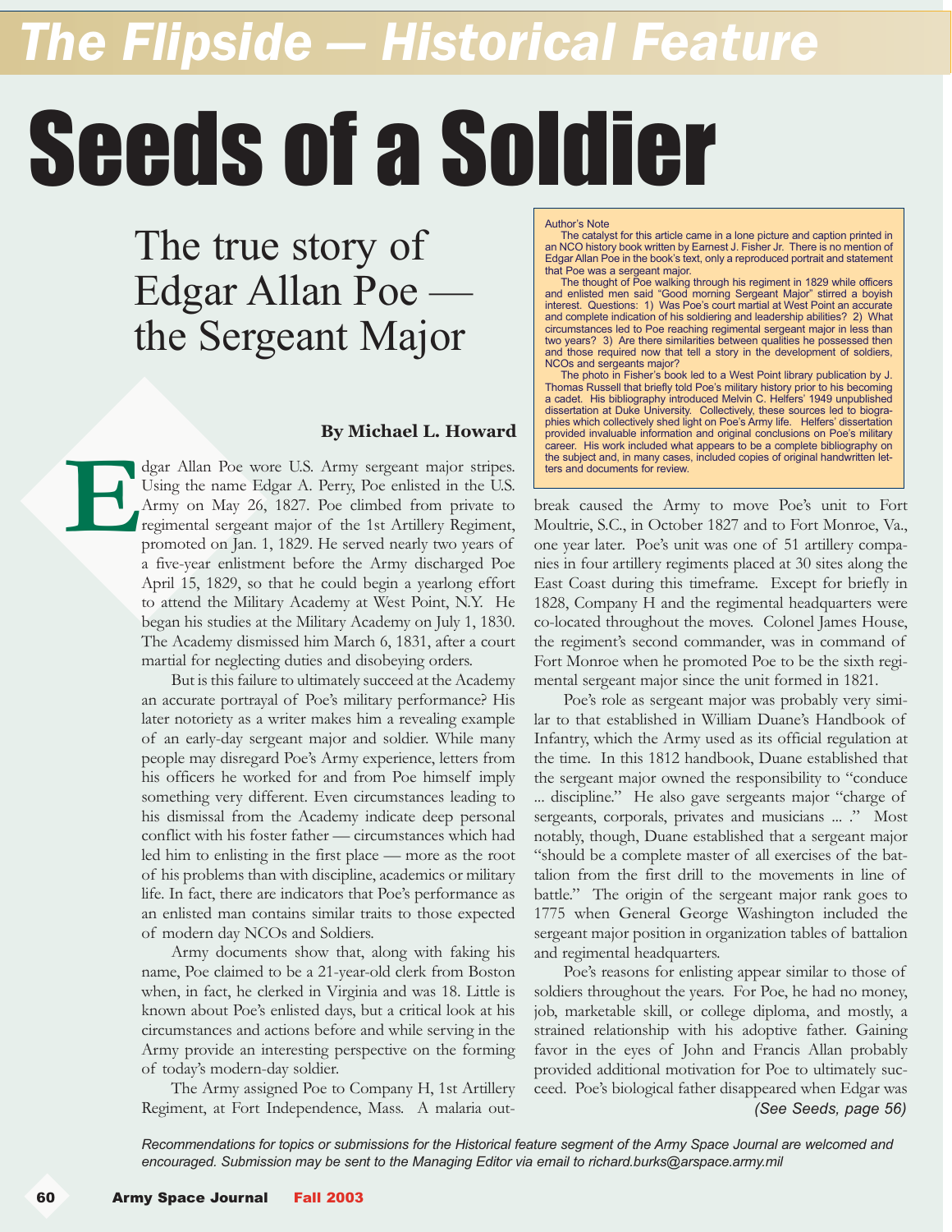## *The Flipside — Historical Feature*

# Seeds of a Soldier

The true story of Edgar Allan Poe the Sergeant Major

#### **By Michael L. Howard**

dgar Allan Poe wore U.S. Army sergeant major stripes. Using the name Edgar A. Perry, Poe enlisted in the U.S. Army on May 26, 1827. Poe climbed from private to regimental sergeant major of the 1st Artillery Regiment, promoted on Jan. 1, 1829. He served nearly two years of a five-year enlistment before the Army discharged Poe April 15, 1829, so that he could begin a yearlong effort to attend the Military Academy at West Point, N.Y. He began his studies at the Military Academy on July 1, 1830. The Academy dismissed him March 6, 1831, after a court martial for neglecting duties and disobeying orders. **E**

 But is this failure to ultimately succeed at the Academy an accurate portrayal of Poe's military performance? His later notoriety as a writer makes him a revealing example of an early-day sergeant major and soldier. While many people may disregard Poe's Army experience, letters from his officers he worked for and from Poe himself imply something very different. Even circumstances leading to his dismissal from the Academy indicate deep personal conflict with his foster father — circumstances which had led him to enlisting in the first place — more as the root of his problems than with discipline, academics or military life. In fact, there are indicators that Poe's performance as an enlisted man contains similar traits to those expected of modern day NCOs and Soldiers.

 Army documents show that, along with faking his name, Poe claimed to be a 21-year-old clerk from Boston when, in fact, he clerked in Virginia and was 18. Little is known about Poe's enlisted days, but a critical look at his circumstances and actions before and while serving in the Army provide an interesting perspective on the forming of today's modern-day soldier.

 The Army assigned Poe to Company H, 1st Artillery Regiment, at Fort Independence, Mass. A malaria outAuthor's Note

The catalyst for this article came in a lone picture and caption printed in<br>an NCO history book written by Earnest J. Fisher Jr. There is no mention of<br>Edgar Allan Poe in the book's text, only a reproduced portrait and st that Poe was a sergeant major.

and enlisted from walking through his regiment in 1829 while officers<br>and enlisted men said "Good morning Sergeant Major" stirred a boyish<br>interest. Questions: 1) Was Poe's court martial at West Point an accurate<br>and compl circumstances led to Poe reaching regimental sergeant major in less than two years? 3) Are there similarities between qualities he possessed then and those required now that tell a story in the development of soldiers, NCOs and sergeants major?

The photo in Fisher's book led to a West Point library publication by J.<br>Thomas Russell that briefly told Poe's military history prior to his becoming<br>a cadet. His bibliography introduced Melvin C. Helfers' 1949 unpublishe dissertation at Duke University. Collectively, these sources led to biogra-phies which collectively shed light on Poe's Army life. Helfers' dissertation provided invaluable information and original conclusions on Poe's military career. His work included what appears to be a complete bibliography on the subject and, in many cases, included copies of original handwritten letters and documents for review.

break caused the Army to move Poe's unit to Fort Moultrie, S.C., in October 1827 and to Fort Monroe, Va., one year later. Poe's unit was one of 51 artillery companies in four artillery regiments placed at 30 sites along the East Coast during this timeframe. Except for briefly in 1828, Company H and the regimental headquarters were co-located throughout the moves. Colonel James House, the regiment's second commander, was in command of Fort Monroe when he promoted Poe to be the sixth regimental sergeant major since the unit formed in 1821.

 Poe's role as sergeant major was probably very similar to that established in William Duane's Handbook of Infantry, which the Army used as its official regulation at the time. In this 1812 handbook, Duane established that the sergeant major owned the responsibility to "conduce ... discipline." He also gave sergeants major "charge of sergeants, corporals, privates and musicians ... ." Most notably, though, Duane established that a sergeant major "should be a complete master of all exercises of the battalion from the first drill to the movements in line of battle." The origin of the sergeant major rank goes to 1775 when General George Washington included the sergeant major position in organization tables of battalion and regimental headquarters.

 Poe's reasons for enlisting appear similar to those of soldiers throughout the years. For Poe, he had no money, job, marketable skill, or college diploma, and mostly, a strained relationship with his adoptive father. Gaining favor in the eyes of John and Francis Allan probably provided additional motivation for Poe to ultimately succeed. Poe's biological father disappeared when Edgar was *(See Seeds, page 56)*

*Recommendations for topics or submissions for the Historical feature segment of the Army Space Journal are welcomed and encouraged. Submission may be sent to the Managing Editor via email to richard.burks@arspace.army.mil*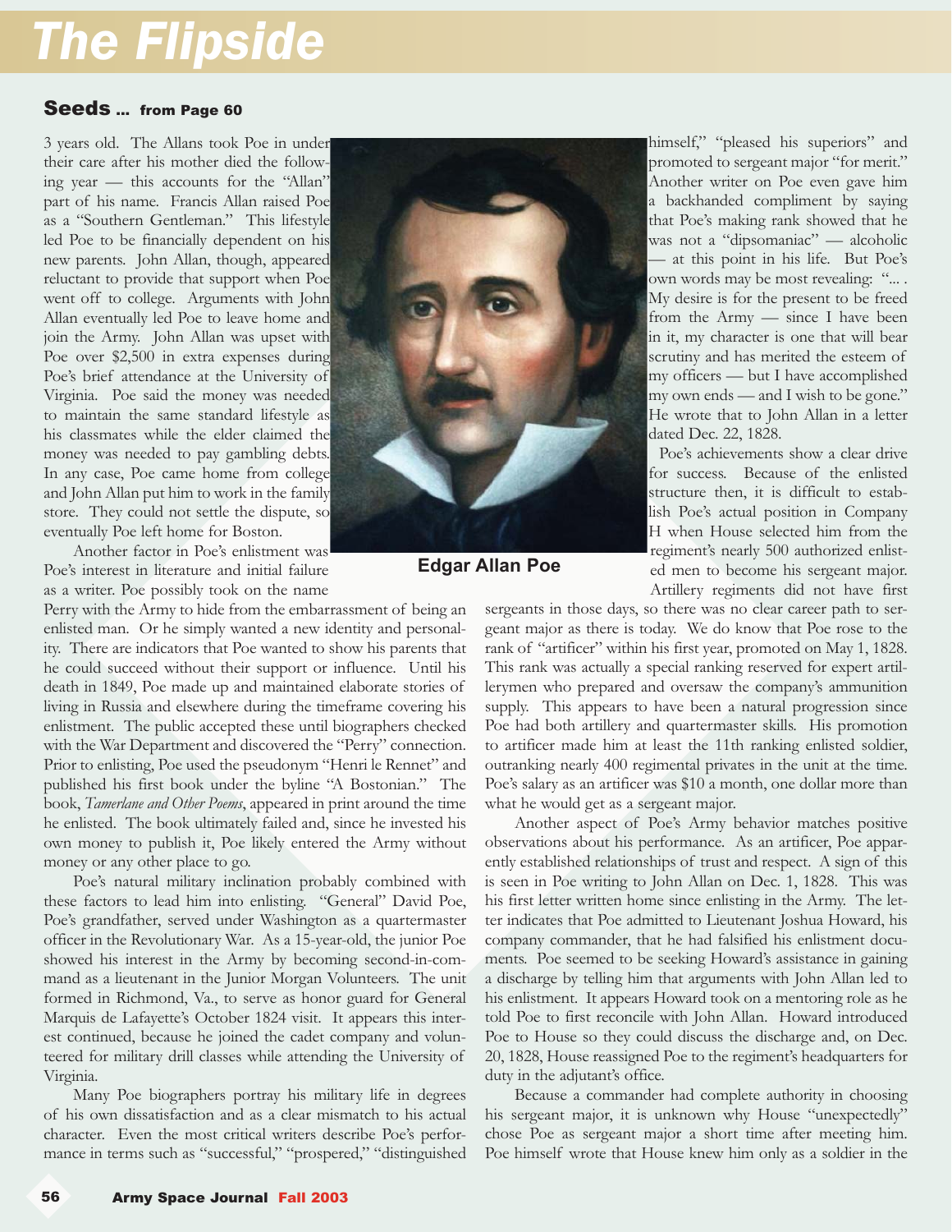### *The Flipside*

#### Seeds ... from Page 60

3 years old. The Allans took Poe in under their care after his mother died the following year — this accounts for the "Allan" part of his name. Francis Allan raised Poe as a "Southern Gentleman." This lifestyle led Poe to be financially dependent on his new parents. John Allan, though, appeared reluctant to provide that support when Poe went off to college. Arguments with John Allan eventually led Poe to leave home and join the Army. John Allan was upset with Poe over \$2,500 in extra expenses during Poe's brief attendance at the University of Virginia. Poe said the money was needed to maintain the same standard lifestyle as his classmates while the elder claimed the money was needed to pay gambling debts. In any case, Poe came home from college and John Allan put him to work in the family store. They could not settle the dispute, so eventually Poe left home for Boston.

 Another factor in Poe's enlistment was Poe's interest in literature and initial failure as a writer. Poe possibly took on the name

Perry with the Army to hide from the embarrassment of being an enlisted man. Or he simply wanted a new identity and personality. There are indicators that Poe wanted to show his parents that he could succeed without their support or influence. Until his death in 1849, Poe made up and maintained elaborate stories of living in Russia and elsewhere during the timeframe covering his enlistment. The public accepted these until biographers checked with the War Department and discovered the "Perry" connection. Prior to enlisting, Poe used the pseudonym "Henri le Rennet" and published his first book under the byline "A Bostonian." The book, *Tamerlane and Other Poems*, appeared in print around the time he enlisted. The book ultimately failed and, since he invested his own money to publish it, Poe likely entered the Army without money or any other place to go.

 Poe's natural military inclination probably combined with these factors to lead him into enlisting. "General" David Poe, Poe's grandfather, served under Washington as a quartermaster officer in the Revolutionary War. As a 15-year-old, the junior Poe showed his interest in the Army by becoming second-in-command as a lieutenant in the Junior Morgan Volunteers. The unit formed in Richmond, Va., to serve as honor guard for General Marquis de Lafayette's October 1824 visit. It appears this interest continued, because he joined the cadet company and volunteered for military drill classes while attending the University of Virginia.

 Many Poe biographers portray his military life in degrees of his own dissatisfaction and as a clear mismatch to his actual character. Even the most critical writers describe Poe's performance in terms such as "successful," "prospered," "distinguished



**Edgar Allan Poe**

himself," "pleased his superiors" and promoted to sergeant major "for merit." Another writer on Poe even gave him

a backhanded compliment by saying that Poe's making rank showed that he was not a "dipsomaniac" — alcoholic — at this point in his life. But Poe's own words may be most revealing: ".... My desire is for the present to be freed from the Army — since I have been in it, my character is one that will bear scrutiny and has merited the esteem of my officers — but I have accomplished my own ends — and I wish to be gone." He wrote that to John Allan in a letter dated Dec. 22, 1828.

 Poe's achievements show a clear drive for success. Because of the enlisted structure then, it is difficult to establish Poe's actual position in Company H when House selected him from the regiment's nearly 500 authorized enlisted men to become his sergeant major. Artillery regiments did not have first

sergeants in those days, so there was no clear career path to sergeant major as there is today. We do know that Poe rose to the rank of "artificer" within his first year, promoted on May 1, 1828. This rank was actually a special ranking reserved for expert artillerymen who prepared and oversaw the company's ammunition supply. This appears to have been a natural progression since Poe had both artillery and quartermaster skills. His promotion to artificer made him at least the 11th ranking enlisted soldier, outranking nearly 400 regimental privates in the unit at the time. Poe's salary as an artificer was \$10 a month, one dollar more than what he would get as a sergeant major.

 Another aspect of Poe's Army behavior matches positive observations about his performance. As an artificer, Poe apparently established relationships of trust and respect. A sign of this is seen in Poe writing to John Allan on Dec. 1, 1828. This was his first letter written home since enlisting in the Army. The letter indicates that Poe admitted to Lieutenant Joshua Howard, his company commander, that he had falsified his enlistment documents. Poe seemed to be seeking Howard's assistance in gaining a discharge by telling him that arguments with John Allan led to his enlistment. It appears Howard took on a mentoring role as he told Poe to first reconcile with John Allan. Howard introduced Poe to House so they could discuss the discharge and, on Dec. 20, 1828, House reassigned Poe to the regiment's headquarters for duty in the adjutant's office.

 Because a commander had complete authority in choosing his sergeant major, it is unknown why House "unexpectedly" chose Poe as sergeant major a short time after meeting him. Poe himself wrote that House knew him only as a soldier in the